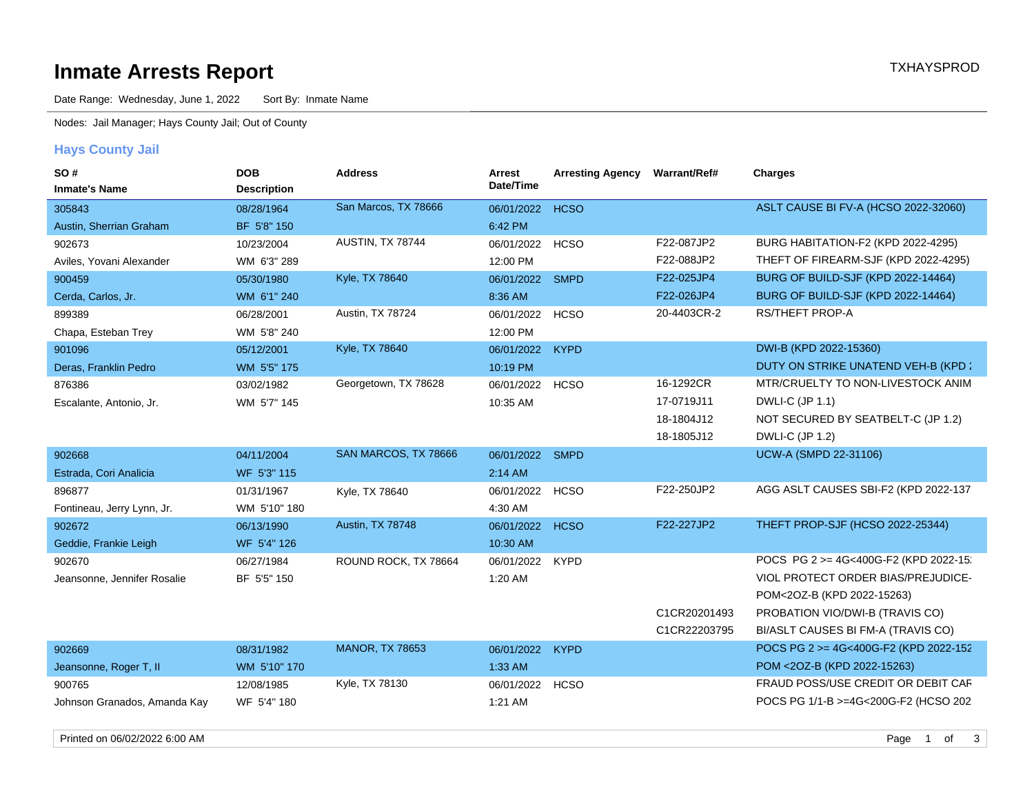# **Inmate Arrests Report TXHAYSPROD Inmate Arrests Report**

Date Range: Wednesday, June 1, 2022 Sort By: Inmate Name

Nodes: Jail Manager; Hays County Jail; Out of County

## **Hays County Jail**

| Date/Time<br><b>Inmate's Name</b><br><b>Description</b><br>ASLT CAUSE BI FV-A (HCSO 2022-32060)<br>San Marcos, TX 78666<br><b>HCSO</b><br>08/28/1964<br>06/01/2022<br>305843<br>6:42 PM<br>Austin, Sherrian Graham<br>BF 5'8" 150<br>F22-087JP2<br>BURG HABITATION-F2 (KPD 2022-4295)<br>AUSTIN, TX 78744<br><b>HCSO</b><br>902673<br>10/23/2004<br>06/01/2022<br>F22-088JP2<br>THEFT OF FIREARM-SJF (KPD 2022-4295)<br>WM 6'3" 289<br>12:00 PM<br>Aviles, Yovani Alexander |  |
|-----------------------------------------------------------------------------------------------------------------------------------------------------------------------------------------------------------------------------------------------------------------------------------------------------------------------------------------------------------------------------------------------------------------------------------------------------------------------------|--|
|                                                                                                                                                                                                                                                                                                                                                                                                                                                                             |  |
|                                                                                                                                                                                                                                                                                                                                                                                                                                                                             |  |
|                                                                                                                                                                                                                                                                                                                                                                                                                                                                             |  |
|                                                                                                                                                                                                                                                                                                                                                                                                                                                                             |  |
| BURG OF BUILD-SJF (KPD 2022-14464)<br>Kyle, TX 78640<br>F22-025JP4<br>06/01/2022<br><b>SMPD</b><br>900459<br>05/30/1980                                                                                                                                                                                                                                                                                                                                                     |  |
| BURG OF BUILD-SJF (KPD 2022-14464)<br>F22-026JP4                                                                                                                                                                                                                                                                                                                                                                                                                            |  |
| 8:36 AM<br>Cerda, Carlos, Jr.<br>WM 6'1" 240<br>Austin, TX 78724<br>20-4403CR-2<br><b>RS/THEFT PROP-A</b>                                                                                                                                                                                                                                                                                                                                                                   |  |
| 06/28/2001<br>06/01/2022<br><b>HCSO</b><br>899389                                                                                                                                                                                                                                                                                                                                                                                                                           |  |
| 12:00 PM<br>Chapa, Esteban Trey<br>WM 5'8" 240                                                                                                                                                                                                                                                                                                                                                                                                                              |  |
| DWI-B (KPD 2022-15360)<br>Kyle, TX 78640<br>05/12/2001<br>06/01/2022<br><b>KYPD</b><br>901096                                                                                                                                                                                                                                                                                                                                                                               |  |
| DUTY ON STRIKE UNATEND VEH-B (KPD 2<br>Deras, Franklin Pedro<br>WM 5'5" 175<br>10:19 PM                                                                                                                                                                                                                                                                                                                                                                                     |  |
| 16-1292CR<br>MTR/CRUELTY TO NON-LIVESTOCK ANIM<br>Georgetown, TX 78628<br><b>HCSO</b><br>03/02/1982<br>06/01/2022<br>876386                                                                                                                                                                                                                                                                                                                                                 |  |
| 17-0719J11<br>DWLI-C (JP 1.1)<br>Escalante, Antonio, Jr.<br>WM 5'7" 145<br>10:35 AM                                                                                                                                                                                                                                                                                                                                                                                         |  |
| 18-1804J12<br>NOT SECURED BY SEATBELT-C (JP 1.2)                                                                                                                                                                                                                                                                                                                                                                                                                            |  |
| DWLI-C (JP 1.2)<br>18-1805J12                                                                                                                                                                                                                                                                                                                                                                                                                                               |  |
| UCW-A (SMPD 22-31106)<br>SAN MARCOS, TX 78666<br>06/01/2022 SMPD<br>902668<br>04/11/2004                                                                                                                                                                                                                                                                                                                                                                                    |  |
| WF 5'3" 115<br>2:14 AM<br>Estrada, Cori Analicia                                                                                                                                                                                                                                                                                                                                                                                                                            |  |
| AGG ASLT CAUSES SBI-F2 (KPD 2022-137<br>F22-250JP2<br>896877<br>06/01/2022<br><b>HCSO</b><br>01/31/1967<br>Kyle, TX 78640                                                                                                                                                                                                                                                                                                                                                   |  |
| WM 5'10" 180<br>4:30 AM<br>Fontineau, Jerry Lynn, Jr.                                                                                                                                                                                                                                                                                                                                                                                                                       |  |
| THEFT PROP-SJF (HCSO 2022-25344)<br><b>Austin, TX 78748</b><br>F22-227JP2<br><b>HCSO</b><br>902672<br>06/13/1990<br>06/01/2022                                                                                                                                                                                                                                                                                                                                              |  |
| 10:30 AM<br>Geddie, Frankie Leigh<br>WF 5'4" 126                                                                                                                                                                                                                                                                                                                                                                                                                            |  |
| POCS PG 2 >= 4G<400G-F2 (KPD 2022-15)<br>06/01/2022<br><b>KYPD</b><br>902670<br>06/27/1984<br>ROUND ROCK, TX 78664                                                                                                                                                                                                                                                                                                                                                          |  |
| VIOL PROTECT ORDER BIAS/PREJUDICE-<br>Jeansonne, Jennifer Rosalie<br>BF 5'5" 150<br>1:20 AM                                                                                                                                                                                                                                                                                                                                                                                 |  |
| POM<2OZ-B (KPD 2022-15263)                                                                                                                                                                                                                                                                                                                                                                                                                                                  |  |
| C1CR20201493<br>PROBATION VIO/DWI-B (TRAVIS CO)                                                                                                                                                                                                                                                                                                                                                                                                                             |  |
| C1CR22203795<br>BI/ASLT CAUSES BI FM-A (TRAVIS CO)                                                                                                                                                                                                                                                                                                                                                                                                                          |  |
| <b>MANOR, TX 78653</b><br>POCS PG 2 >= 4G<400G-F2 (KPD 2022-152<br><b>KYPD</b><br>902669<br>08/31/1982<br>06/01/2022                                                                                                                                                                                                                                                                                                                                                        |  |
| POM <20Z-B (KPD 2022-15263)<br>Jeansonne, Roger T, II<br>WM 5'10" 170<br>1:33 AM                                                                                                                                                                                                                                                                                                                                                                                            |  |
| Kyle, TX 78130<br>FRAUD POSS/USE CREDIT OR DEBIT CAF<br>12/08/1985<br>06/01/2022<br><b>HCSO</b><br>900765                                                                                                                                                                                                                                                                                                                                                                   |  |
| POCS PG 1/1-B >=4G<200G-F2 (HCSO 202<br>Johnson Granados, Amanda Kay<br>WF 5'4" 180<br>1:21 AM                                                                                                                                                                                                                                                                                                                                                                              |  |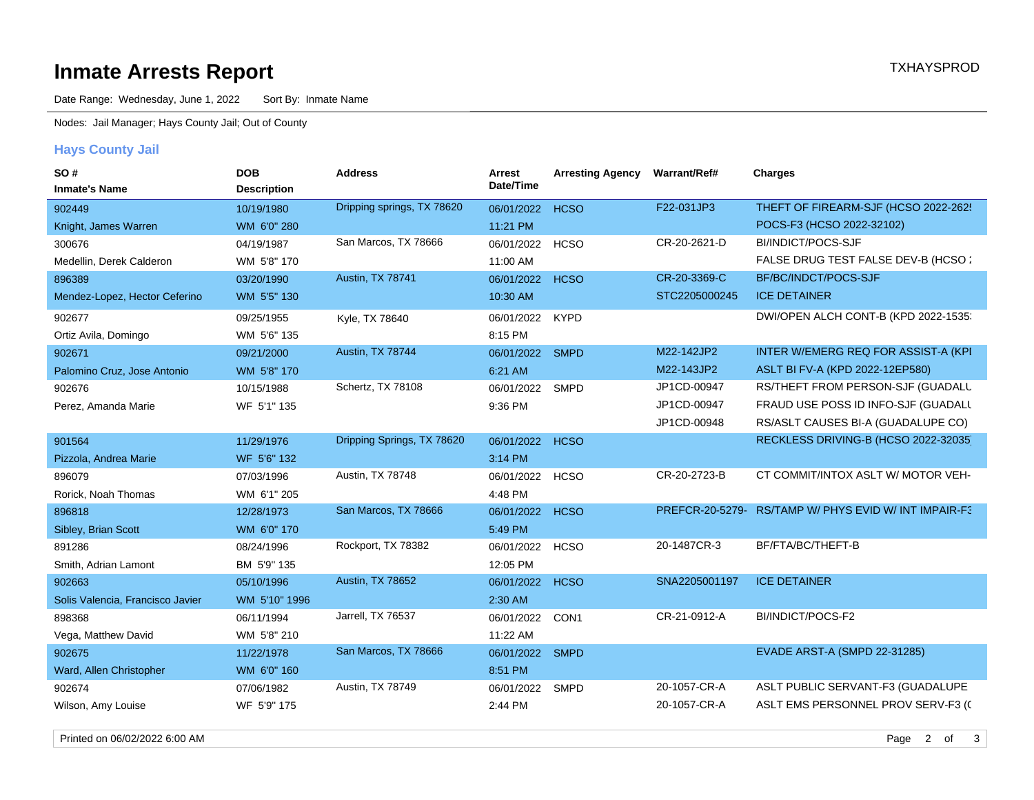# **Inmate Arrests Report TXHAYSPROD Inmate Arrests Report**

Date Range: Wednesday, June 1, 2022 Sort By: Inmate Name

Nodes: Jail Manager; Hays County Jail; Out of County

## **Hays County Jail**

| SO#                              | <b>DOB</b>         | <b>Address</b>             | Arrest     | <b>Arresting Agency</b> | Warrant/Ref#    | <b>Charges</b>                        |
|----------------------------------|--------------------|----------------------------|------------|-------------------------|-----------------|---------------------------------------|
| <b>Inmate's Name</b>             | <b>Description</b> |                            | Date/Time  |                         |                 |                                       |
| 902449                           | 10/19/1980         | Dripping springs, TX 78620 | 06/01/2022 | <b>HCSO</b>             | F22-031JP3      | THEFT OF FIREARM-SJF (HCSO 2022-262!  |
| Knight, James Warren             | WM 6'0" 280        |                            | 11:21 PM   |                         |                 | POCS-F3 (HCSO 2022-32102)             |
| 300676                           | 04/19/1987         | San Marcos, TX 78666       | 06/01/2022 | <b>HCSO</b>             | CR-20-2621-D    | BI/INDICT/POCS-SJF                    |
| Medellin, Derek Calderon         | WM 5'8" 170        |                            | 11:00 AM   |                         |                 | FALSE DRUG TEST FALSE DEV-B (HCSO:    |
| 896389                           | 03/20/1990         | Austin, TX 78741           | 06/01/2022 | <b>HCSO</b>             | CR-20-3369-C    | BF/BC/INDCT/POCS-SJF                  |
| Mendez-Lopez, Hector Ceferino    | WM 5'5" 130        |                            | 10:30 AM   |                         | STC2205000245   | <b>ICE DETAINER</b>                   |
| 902677                           | 09/25/1955         | Kyle, TX 78640             | 06/01/2022 | <b>KYPD</b>             |                 | DWI/OPEN ALCH CONT-B (KPD 2022-1535:  |
| Ortiz Avila, Domingo             | WM 5'6" 135        |                            | 8:15 PM    |                         |                 |                                       |
| 902671                           | 09/21/2000         | Austin, TX 78744           | 06/01/2022 | <b>SMPD</b>             | M22-142JP2      | INTER W/EMERG REQ FOR ASSIST-A (KPI)  |
| Palomino Cruz, Jose Antonio      | WM 5'8" 170        |                            | 6:21 AM    |                         | M22-143JP2      | ASLT BI FV-A (KPD 2022-12EP580)       |
| 902676                           | 10/15/1988         | Schertz, TX 78108          | 06/01/2022 | <b>SMPD</b>             | JP1CD-00947     | RS/THEFT FROM PERSON-SJF (GUADALU     |
| Perez, Amanda Marie              | WF 5'1" 135        |                            | 9:36 PM    |                         | JP1CD-00947     | FRAUD USE POSS ID INFO-SJF (GUADALL   |
|                                  |                    |                            |            |                         | JP1CD-00948     | RS/ASLT CAUSES BI-A (GUADALUPE CO)    |
| 901564                           | 11/29/1976         | Dripping Springs, TX 78620 | 06/01/2022 | <b>HCSO</b>             |                 | RECKLESS DRIVING-B (HCSO 2022-32035)  |
| Pizzola, Andrea Marie            | WF 5'6" 132        |                            | 3:14 PM    |                         |                 |                                       |
| 896079                           | 07/03/1996         | Austin, TX 78748           | 06/01/2022 | <b>HCSO</b>             | CR-20-2723-B    | CT COMMIT/INTOX ASLT W/ MOTOR VEH-    |
| Rorick, Noah Thomas              | WM 6'1" 205        |                            | 4:48 PM    |                         |                 |                                       |
| 896818                           | 12/28/1973         | San Marcos, TX 78666       | 06/01/2022 | <b>HCSO</b>             | PREFCR-20-5279- | RS/TAMP W/ PHYS EVID W/ INT IMPAIR-F3 |
| Sibley, Brian Scott              | WM 6'0" 170        |                            | 5:49 PM    |                         |                 |                                       |
| 891286                           | 08/24/1996         | Rockport, TX 78382         | 06/01/2022 | <b>HCSO</b>             | 20-1487CR-3     | BF/FTA/BC/THEFT-B                     |
| Smith, Adrian Lamont             | BM 5'9" 135        |                            | 12:05 PM   |                         |                 |                                       |
| 902663                           | 05/10/1996         | Austin, TX 78652           | 06/01/2022 | <b>HCSO</b>             | SNA2205001197   | <b>ICE DETAINER</b>                   |
| Solis Valencia, Francisco Javier | WM 5'10" 1996      |                            | 2:30 AM    |                         |                 |                                       |
| 898368                           | 06/11/1994         | Jarrell, TX 76537          | 06/01/2022 | CON1                    | CR-21-0912-A    | BI/INDICT/POCS-F2                     |
| Vega, Matthew David              | WM 5'8" 210        |                            | 11:22 AM   |                         |                 |                                       |
| 902675                           | 11/22/1978         | San Marcos, TX 78666       | 06/01/2022 | <b>SMPD</b>             |                 | <b>EVADE ARST-A (SMPD 22-31285)</b>   |
| Ward, Allen Christopher          | WM 6'0" 160        |                            | 8:51 PM    |                         |                 |                                       |
| 902674                           | 07/06/1982         | Austin, TX 78749           | 06/01/2022 | <b>SMPD</b>             | 20-1057-CR-A    | ASLT PUBLIC SERVANT-F3 (GUADALUPE     |
| Wilson, Amy Louise               | WF 5'9" 175        |                            | 2:44 PM    |                         | 20-1057-CR-A    | ASLT EMS PERSONNEL PROV SERV-F3 (C    |

Printed on 06/02/2022 6:00 AM 3 and 2020 10:00 Page 2 of 3